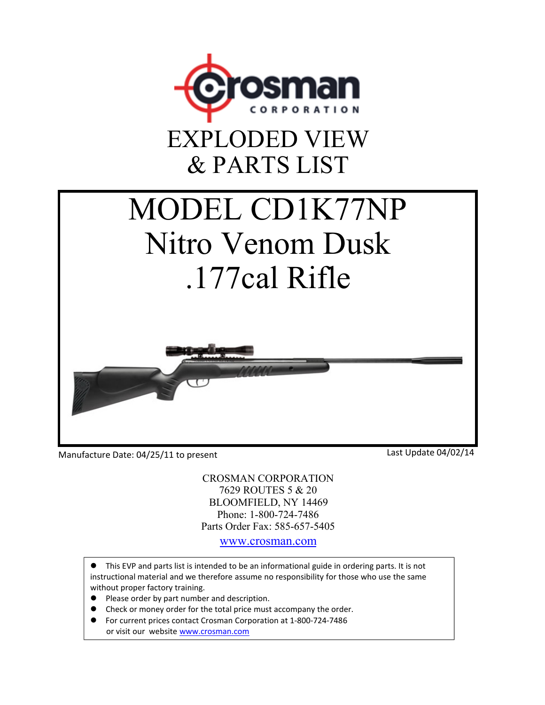

## EXPLODED VIEW & PARTS LIST

## MODEL CD1K77NP Nitro Venom Dusk .177cal Rifle

Manufacture Date: 04/25/11 to present

Last Update 04/02/14

CROSMAN CORPORATION 7629 ROUTES 5 & 20 BLOOMFIELD, NY 14469 Phone: 1-800-724-7486 Parts Order Fax: 585-657-5405

www.crosman.com

This EVP and parts list is intended to be an informational guide in ordering parts. It is not instructional material and we therefore assume no responsibility for those who use the same without proper factory training.

- Please order by part number and description.
- Check or money order for the total price must accompany the order.
- For current prices contact Crosman Corporation at 1‐800‐724‐7486 or visit our website www.crosman.com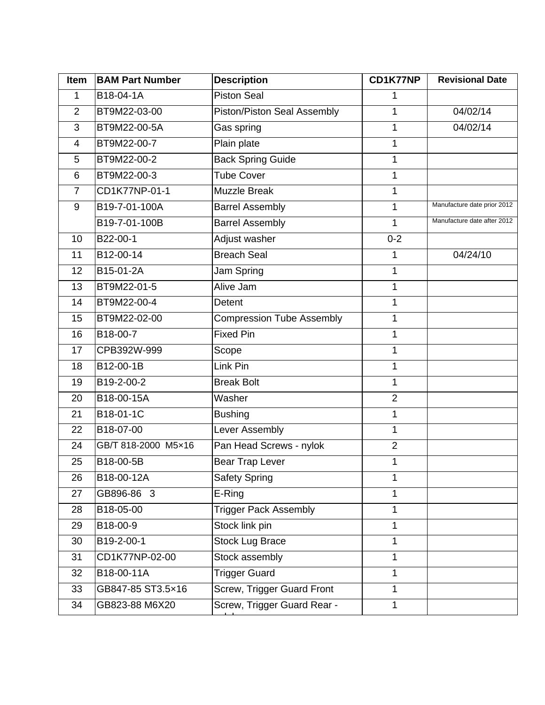| <b>Item</b>              | <b>BAM Part Number</b> | <b>Description</b>           | CD1K77NP       | <b>Revisional Date</b>      |
|--------------------------|------------------------|------------------------------|----------------|-----------------------------|
| 1                        | B18-04-1A              | <b>Piston Seal</b>           | 1              |                             |
| $\overline{2}$           | BT9M22-03-00           | Piston/Piston Seal Assembly  | 1              | 04/02/14                    |
| 3                        | BT9M22-00-5A           | Gas spring                   | 1              | 04/02/14                    |
| $\overline{\mathcal{A}}$ | BT9M22-00-7            | Plain plate                  | 1              |                             |
| 5                        | BT9M22-00-2            | <b>Back Spring Guide</b>     | 1              |                             |
| 6                        | BT9M22-00-3            | <b>Tube Cover</b>            | 1              |                             |
| $\overline{7}$           | CD1K77NP-01-1          | <b>Muzzle Break</b>          | 1              |                             |
| 9                        | B19-7-01-100A          | <b>Barrel Assembly</b>       | 1              | Manufacture date prior 2012 |
|                          | B19-7-01-100B          | <b>Barrel Assembly</b>       | 1              | Manufacture date after 2012 |
| 10                       | B22-00-1               | Adjust washer                | $0 - 2$        |                             |
| 11                       | B12-00-14              | <b>Breach Seal</b>           | 1              | 04/24/10                    |
| 12                       | B15-01-2A              | Jam Spring                   | 1              |                             |
| 13                       | BT9M22-01-5            | Alive Jam                    | 1              |                             |
| 14                       | BT9M22-00-4            | <b>Detent</b>                | 1              |                             |
| 15                       | BT9M22-02-00           | Compression Tube Assembly    | 1              |                             |
| 16                       | B18-00-7               | <b>Fixed Pin</b>             | 1              |                             |
| 17                       | CPB392W-999            | Scope                        | 1              |                             |
| 18                       | B12-00-1B              | Link Pin                     | 1              |                             |
| 19                       | B19-2-00-2             | <b>Break Bolt</b>            | 1              |                             |
| 20                       | B18-00-15A             | Washer                       | $\overline{2}$ |                             |
| 21                       | B18-01-1C              | <b>Bushing</b>               | 1              |                             |
| 22                       | B18-07-00              | Lever Assembly               | 1              |                             |
| 24                       | GB/T 818-2000 M5×16    | Pan Head Screws - nylok      | $\overline{2}$ |                             |
| 25                       | B18-00-5B              | <b>Bear Trap Lever</b>       | 1              |                             |
| 26                       | B18-00-12A             | <b>Safety Spring</b>         | 1              |                             |
| 27                       | GB896-86 3             | E-Ring                       | 1              |                             |
| 28                       | B18-05-00              | <b>Trigger Pack Assembly</b> | 1              |                             |
| 29                       | B18-00-9               | Stock link pin               | 1              |                             |
| 30                       | B19-2-00-1             | <b>Stock Lug Brace</b>       | 1              |                             |
| 31                       | CD1K77NP-02-00         | Stock assembly               | 1              |                             |
| 32                       | B18-00-11A             | <b>Trigger Guard</b>         | 1              |                             |
| 33                       | GB847-85 ST3.5×16      | Screw, Trigger Guard Front   | 1              |                             |
| 34                       | GB823-88 M6X20         | Screw, Trigger Guard Rear -  | 1              |                             |